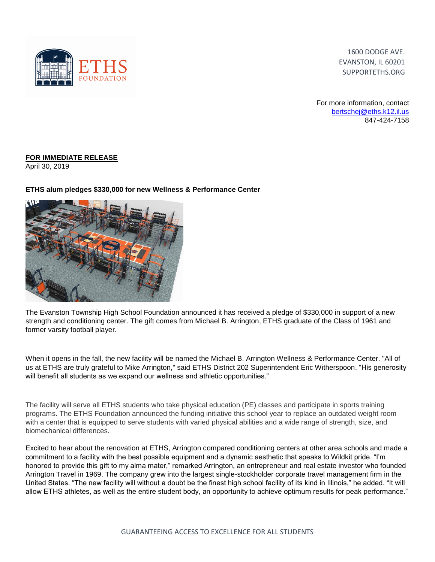

1600 DODGE AVE. EVANSTON, IL 60201 SUPPORTETHS.ORG

For more information, contact [bertschej@eths.k12.il.us](mailto:bertschej@eths.k12.il.us) 847-424-7158

## **FOR IMMEDIATE RELEASE**

April 30, 2019

## **ETHS alum pledges \$330,000 for new Wellness & Performance Center**



The Evanston Township High School Foundation announced it has received a pledge of \$330,000 in support of a new strength and conditioning center. The gift comes from Michael B. Arrington, ETHS graduate of the Class of 1961 and former varsity football player.

When it opens in the fall, the new facility will be named the Michael B. Arrington Wellness & Performance Center. "All of us at ETHS are truly grateful to Mike Arrington," said ETHS District 202 Superintendent Eric Witherspoon. "His generosity will benefit all students as we expand our wellness and athletic opportunities."

The facility will serve all ETHS students who take physical education (PE) classes and participate in sports training programs. The ETHS Foundation announced the funding initiative this school year to replace an outdated weight room with a center that is equipped to serve students with varied physical abilities and a wide range of strength, size, and biomechanical differences.

Excited to hear about the renovation at ETHS, Arrington compared conditioning centers at other area schools and made a commitment to a facility with the best possible equipment and a dynamic aesthetic that speaks to Wildkit pride. "I'm honored to provide this gift to my alma mater," remarked Arrington, an entrepreneur and real estate investor who founded Arrington Travel in 1969. The company grew into the largest single-stockholder corporate travel management firm in the United States. "The new facility will without a doubt be the finest high school facility of its kind in Illinois," he added. "It will allow ETHS athletes, as well as the entire student body, an opportunity to achieve optimum results for peak performance."